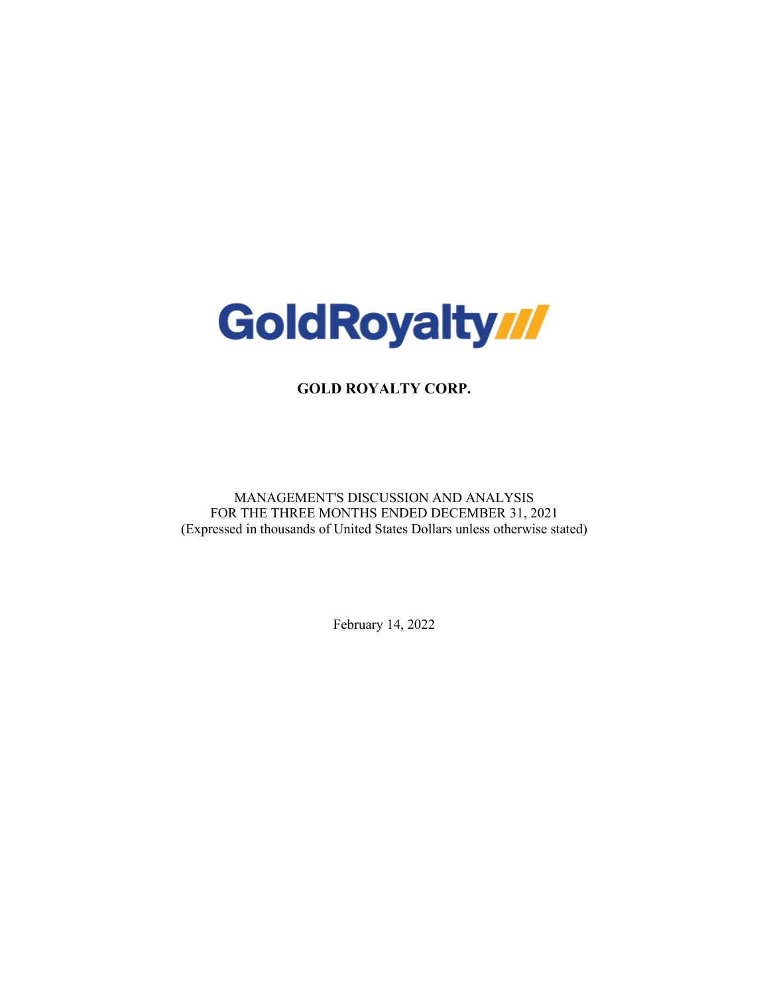

**GOLD ROYALTY CORP.**

MANAGEMENT'S DISCUSSION AND ANALYSIS FOR THE THREE MONTHS ENDED DECEMBER 31, 2021 (Expressed in thousands of United States Dollars unless otherwise stated)

February 14, 2022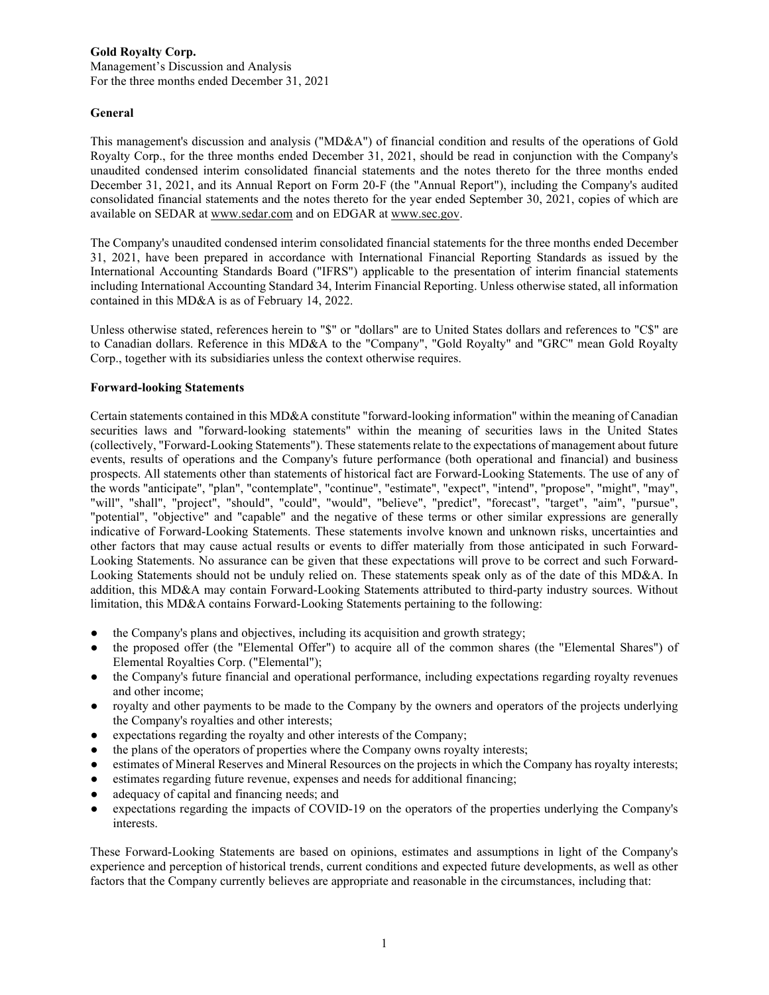Management's Discussion and Analysis For the three months ended December 31, 2021

# **General**

This management's discussion and analysis ("MD&A") of financial condition and results of the operations of Gold Royalty Corp., for the three months ended December 31, 2021, should be read in conjunction with the Company's unaudited condensed interim consolidated financial statements and the notes thereto for the three months ended December 31, 2021, and its Annual Report on Form 20-F (the "Annual Report"), including the Company's audited consolidated financial statements and the notes thereto for the year ended September 30, 2021, copies of which are available on SEDAR at www.sedar.com and on EDGAR at www.sec.gov.

The Company's unaudited condensed interim consolidated financial statements for the three months ended December 31, 2021, have been prepared in accordance with International Financial Reporting Standards as issued by the International Accounting Standards Board ("IFRS") applicable to the presentation of interim financial statements including International Accounting Standard 34, Interim Financial Reporting. Unless otherwise stated, all information contained in this MD&A is as of February 14, 2022.

Unless otherwise stated, references herein to "\$" or "dollars" are to United States dollars and references to "C\$" are to Canadian dollars. Reference in this MD&A to the "Company", "Gold Royalty" and "GRC" mean Gold Royalty Corp., together with its subsidiaries unless the context otherwise requires.

# **Forward-looking Statements**

Certain statements contained in this MD&A constitute "forward-looking information" within the meaning of Canadian securities laws and "forward-looking statements" within the meaning of securities laws in the United States (collectively, "Forward-Looking Statements"). These statements relate to the expectations of management about future events, results of operations and the Company's future performance (both operational and financial) and business prospects. All statements other than statements of historical fact are Forward-Looking Statements. The use of any of the words "anticipate", "plan", "contemplate", "continue", "estimate", "expect", "intend", "propose", "might", "may", "will", "shall", "project", "should", "could", "would", "believe", "predict", "forecast", "target", "aim", "pursue", "potential", "objective" and "capable" and the negative of these terms or other similar expressions are generally indicative of Forward-Looking Statements. These statements involve known and unknown risks, uncertainties and other factors that may cause actual results or events to differ materially from those anticipated in such Forward-Looking Statements. No assurance can be given that these expectations will prove to be correct and such Forward-Looking Statements should not be unduly relied on. These statements speak only as of the date of this MD&A. In addition, this MD&A may contain Forward-Looking Statements attributed to third-party industry sources. Without limitation, this MD&A contains Forward-Looking Statements pertaining to the following:

- the Company's plans and objectives, including its acquisition and growth strategy;
- the proposed offer (the "Elemental Offer") to acquire all of the common shares (the "Elemental Shares") of Elemental Royalties Corp. ("Elemental");
- the Company's future financial and operational performance, including expectations regarding royalty revenues and other income;
- royalty and other payments to be made to the Company by the owners and operators of the projects underlying the Company's royalties and other interests;
- expectations regarding the royalty and other interests of the Company;
- the plans of the operators of properties where the Company owns royalty interests;
- estimates of Mineral Reserves and Mineral Resources on the projects in which the Company has royalty interests;
- estimates regarding future revenue, expenses and needs for additional financing;
- adequacy of capital and financing needs; and
- expectations regarding the impacts of COVID-19 on the operators of the properties underlying the Company's interests.

These Forward-Looking Statements are based on opinions, estimates and assumptions in light of the Company's experience and perception of historical trends, current conditions and expected future developments, as well as other factors that the Company currently believes are appropriate and reasonable in the circumstances, including that: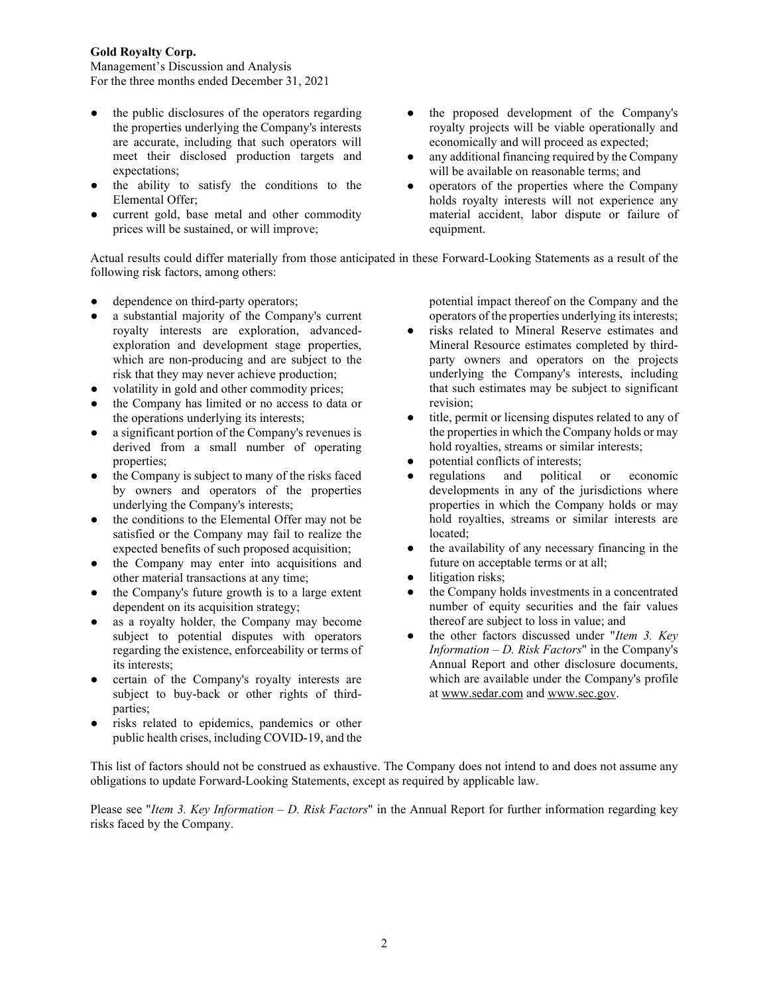Management's Discussion and Analysis For the three months ended December 31, 2021

- the public disclosures of the operators regarding the properties underlying the Company's interests are accurate, including that such operators will meet their disclosed production targets and expectations;
- the ability to satisfy the conditions to the Elemental Offer;
- current gold, base metal and other commodity prices will be sustained, or will improve;
- the proposed development of the Company's royalty projects will be viable operationally and economically and will proceed as expected;
- any additional financing required by the Company will be available on reasonable terms; and
- operators of the properties where the Company holds royalty interests will not experience any material accident, labor dispute or failure of equipment.

Actual results could differ materially from those anticipated in these Forward-Looking Statements as a result of the following risk factors, among others:

- dependence on third-party operators;
- a substantial majority of the Company's current royalty interests are exploration, advancedexploration and development stage properties, which are non-producing and are subject to the risk that they may never achieve production;
- volatility in gold and other commodity prices;
- the Company has limited or no access to data or the operations underlying its interests;
- a significant portion of the Company's revenues is derived from a small number of operating properties;
- the Company is subject to many of the risks faced by owners and operators of the properties underlying the Company's interests;
- the conditions to the Elemental Offer may not be satisfied or the Company may fail to realize the expected benefits of such proposed acquisition;
- the Company may enter into acquisitions and other material transactions at any time;
- the Company's future growth is to a large extent dependent on its acquisition strategy;
- as a royalty holder, the Company may become subject to potential disputes with operators regarding the existence, enforceability or terms of its interests;
- certain of the Company's royalty interests are subject to buy-back or other rights of thirdparties;
- risks related to epidemics, pandemics or other public health crises, including COVID-19, and the

potential impact thereof on the Company and the operators of the properties underlying its interests;

- risks related to Mineral Reserve estimates and Mineral Resource estimates completed by thirdparty owners and operators on the projects underlying the Company's interests, including that such estimates may be subject to significant revision;
- title, permit or licensing disputes related to any of the properties in which the Company holds or may hold royalties, streams or similar interests;
- potential conflicts of interests;
- regulations and political or economic developments in any of the jurisdictions where properties in which the Company holds or may hold royalties, streams or similar interests are located;
- the availability of any necessary financing in the future on acceptable terms or at all;
- litigation risks:
- the Company holds investments in a concentrated number of equity securities and the fair values thereof are subject to loss in value; and
- the other factors discussed under "*Item 3. Key Information – D. Risk Factors*" in the Company's Annual Report and other disclosure documents, which are available under the Company's profile at www.sedar.com and www.sec.gov.

This list of factors should not be construed as exhaustive. The Company does not intend to and does not assume any obligations to update Forward-Looking Statements, except as required by applicable law.

Please see "*Item 3. Key Information – D. Risk Factors*" in the Annual Report for further information regarding key risks faced by the Company.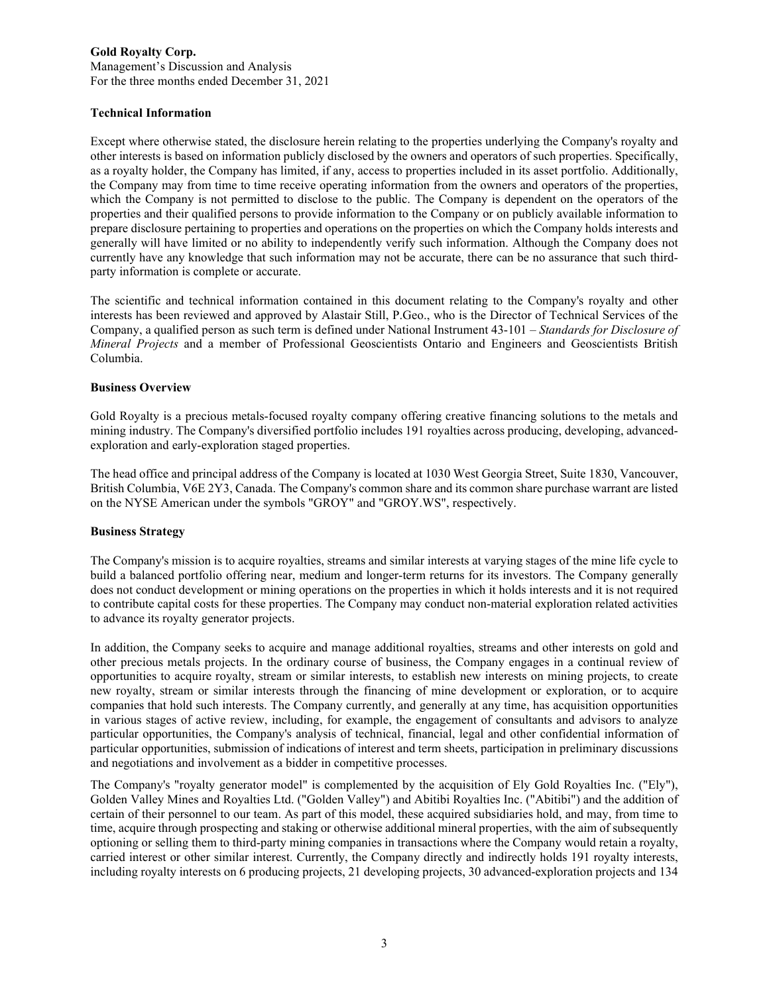Management's Discussion and Analysis For the three months ended December 31, 2021

### **Technical Information**

Except where otherwise stated, the disclosure herein relating to the properties underlying the Company's royalty and other interests is based on information publicly disclosed by the owners and operators of such properties. Specifically, as a royalty holder, the Company has limited, if any, access to properties included in its asset portfolio. Additionally, the Company may from time to time receive operating information from the owners and operators of the properties, which the Company is not permitted to disclose to the public. The Company is dependent on the operators of the properties and their qualified persons to provide information to the Company or on publicly available information to prepare disclosure pertaining to properties and operations on the properties on which the Company holds interests and generally will have limited or no ability to independently verify such information. Although the Company does not currently have any knowledge that such information may not be accurate, there can be no assurance that such thirdparty information is complete or accurate.

The scientific and technical information contained in this document relating to the Company's royalty and other interests has been reviewed and approved by Alastair Still, P.Geo., who is the Director of Technical Services of the Company, a qualified person as such term is defined under National Instrument 43-101 – *Standards for Disclosure of Mineral Projects* and a member of Professional Geoscientists Ontario and Engineers and Geoscientists British Columbia.

#### **Business Overview**

Gold Royalty is a precious metals-focused royalty company offering creative financing solutions to the metals and mining industry. The Company's diversified portfolio includes 191 royalties across producing, developing, advancedexploration and early-exploration staged properties.

The head office and principal address of the Company is located at 1030 West Georgia Street, Suite 1830, Vancouver, British Columbia, V6E 2Y3, Canada. The Company's common share and its common share purchase warrant are listed on the NYSE American under the symbols "GROY" and "GROY.WS", respectively.

# **Business Strategy**

The Company's mission is to acquire royalties, streams and similar interests at varying stages of the mine life cycle to build a balanced portfolio offering near, medium and longer-term returns for its investors. The Company generally does not conduct development or mining operations on the properties in which it holds interests and it is not required to contribute capital costs for these properties. The Company may conduct non-material exploration related activities to advance its royalty generator projects.

In addition, the Company seeks to acquire and manage additional royalties, streams and other interests on gold and other precious metals projects. In the ordinary course of business, the Company engages in a continual review of opportunities to acquire royalty, stream or similar interests, to establish new interests on mining projects, to create new royalty, stream or similar interests through the financing of mine development or exploration, or to acquire companies that hold such interests. The Company currently, and generally at any time, has acquisition opportunities in various stages of active review, including, for example, the engagement of consultants and advisors to analyze particular opportunities, the Company's analysis of technical, financial, legal and other confidential information of particular opportunities, submission of indications of interest and term sheets, participation in preliminary discussions and negotiations and involvement as a bidder in competitive processes.

The Company's "royalty generator model" is complemented by the acquisition of Ely Gold Royalties Inc. ("Ely"), Golden Valley Mines and Royalties Ltd. ("Golden Valley") and Abitibi Royalties Inc. ("Abitibi") and the addition of certain of their personnel to our team. As part of this model, these acquired subsidiaries hold, and may, from time to time, acquire through prospecting and staking or otherwise additional mineral properties, with the aim of subsequently optioning or selling them to third-party mining companies in transactions where the Company would retain a royalty, carried interest or other similar interest. Currently, the Company directly and indirectly holds 191 royalty interests, including royalty interests on 6 producing projects, 21 developing projects, 30 advanced-exploration projects and 134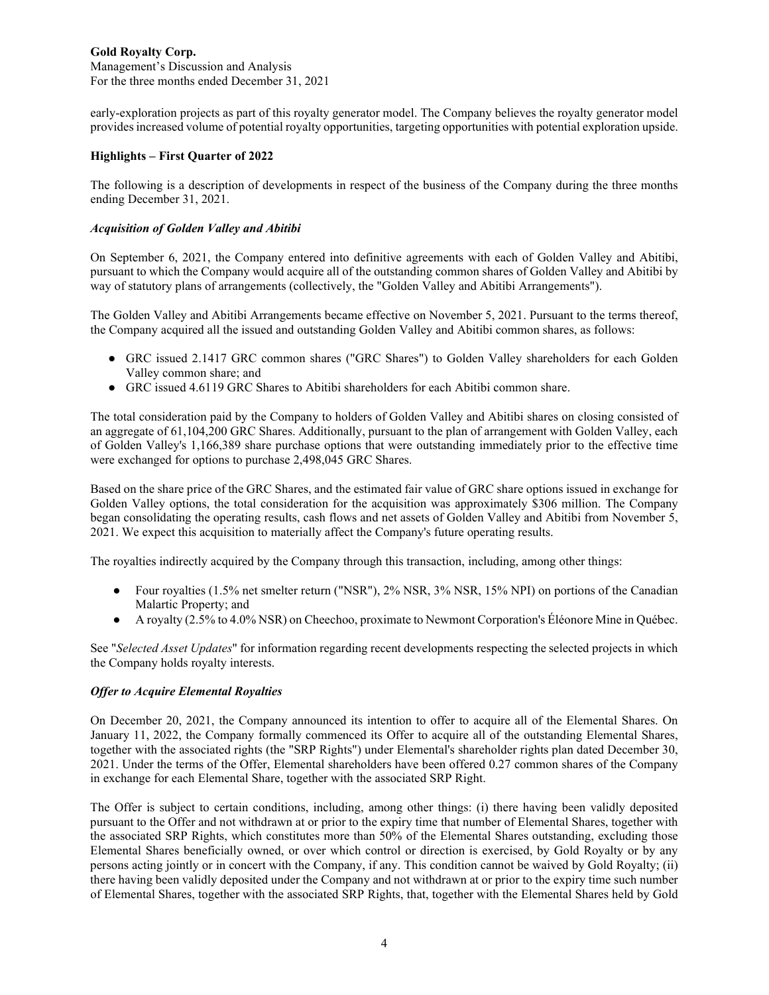Management's Discussion and Analysis For the three months ended December 31, 2021

early-exploration projects as part of this royalty generator model. The Company believes the royalty generator model provides increased volume of potential royalty opportunities, targeting opportunities with potential exploration upside.

# **Highlights – First Quarter of 2022**

The following is a description of developments in respect of the business of the Company during the three months ending December 31, 2021.

# *Acquisition of Golden Valley and Abitibi*

On September 6, 2021, the Company entered into definitive agreements with each of Golden Valley and Abitibi, pursuant to which the Company would acquire all of the outstanding common shares of Golden Valley and Abitibi by way of statutory plans of arrangements (collectively, the "Golden Valley and Abitibi Arrangements").

The Golden Valley and Abitibi Arrangements became effective on November 5, 2021. Pursuant to the terms thereof, the Company acquired all the issued and outstanding Golden Valley and Abitibi common shares, as follows:

- GRC issued 2.1417 GRC common shares ("GRC Shares") to Golden Valley shareholders for each Golden Valley common share; and
- GRC issued 4.6119 GRC Shares to Abitibi shareholders for each Abitibi common share.

The total consideration paid by the Company to holders of Golden Valley and Abitibi shares on closing consisted of an aggregate of 61,104,200 GRC Shares. Additionally, pursuant to the plan of arrangement with Golden Valley, each of Golden Valley's 1,166,389 share purchase options that were outstanding immediately prior to the effective time were exchanged for options to purchase 2,498,045 GRC Shares.

Based on the share price of the GRC Shares, and the estimated fair value of GRC share options issued in exchange for Golden Valley options, the total consideration for the acquisition was approximately \$306 million. The Company began consolidating the operating results, cash flows and net assets of Golden Valley and Abitibi from November 5, 2021. We expect this acquisition to materially affect the Company's future operating results.

The royalties indirectly acquired by the Company through this transaction, including, among other things:

- Four royalties (1.5% net smelter return ("NSR"), 2% NSR, 3% NSR, 15% NPI) on portions of the Canadian Malartic Property; and
- A royalty (2.5% to 4.0% NSR) on Cheechoo, proximate to Newmont Corporation's Éléonore Mine in Québec.

See "*Selected Asset Updates*" for information regarding recent developments respecting the selected projects in which the Company holds royalty interests.

# *Offer to Acquire Elemental Royalties*

On December 20, 2021, the Company announced its intention to offer to acquire all of the Elemental Shares. On January 11, 2022, the Company formally commenced its Offer to acquire all of the outstanding Elemental Shares, together with the associated rights (the "SRP Rights") under Elemental's shareholder rights plan dated December 30, 2021. Under the terms of the Offer, Elemental shareholders have been offered 0.27 common shares of the Company in exchange for each Elemental Share, together with the associated SRP Right.

The Offer is subject to certain conditions, including, among other things: (i) there having been validly deposited pursuant to the Offer and not withdrawn at or prior to the expiry time that number of Elemental Shares, together with the associated SRP Rights, which constitutes more than 50% of the Elemental Shares outstanding, excluding those Elemental Shares beneficially owned, or over which control or direction is exercised, by Gold Royalty or by any persons acting jointly or in concert with the Company, if any. This condition cannot be waived by Gold Royalty; (ii) there having been validly deposited under the Company and not withdrawn at or prior to the expiry time such number of Elemental Shares, together with the associated SRP Rights, that, together with the Elemental Shares held by Gold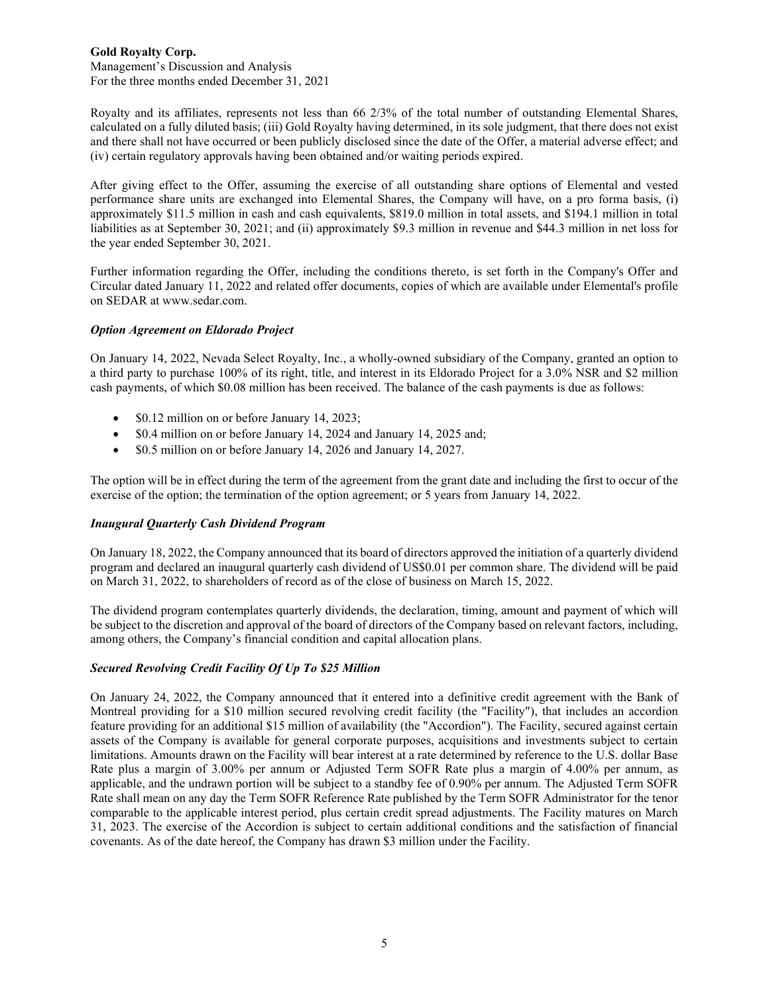Royalty and its affiliates, represents not less than 66 2/3% of the total number of outstanding Elemental Shares, calculated on a fully diluted basis; (iii) Gold Royalty having determined, in its sole judgment, that there does not exist and there shall not have occurred or been publicly disclosed since the date of the Offer, a material adverse effect; and (iv) certain regulatory approvals having been obtained and/or waiting periods expired.

After giving effect to the Offer, assuming the exercise of all outstanding share options of Elemental and vested performance share units are exchanged into Elemental Shares, the Company will have, on a pro forma basis, (i) approximately \$11.5 million in cash and cash equivalents, \$819.0 million in total assets, and \$194.1 million in total liabilities as at September 30, 2021; and (ii) approximately \$9.3 million in revenue and \$44.3 million in net loss for the year ended September 30, 2021.

Further information regarding the Offer, including the conditions thereto, is set forth in the Company's Offer and Circular dated January 11, 2022 and related offer documents, copies of which are available under Elemental's profile on SEDAR at www.sedar.com.

# *Option Agreement on Eldorado Project*

On January 14, 2022, Nevada Select Royalty, Inc., a wholly-owned subsidiary of the Company, granted an option to a third party to purchase 100% of its right, title, and interest in its Eldorado Project for a 3.0% NSR and \$2 million cash payments, of which \$0.08 million has been received. The balance of the cash payments is due as follows:

- \$0.12 million on or before January 14, 2023;
- \$0.4 million on or before January 14, 2024 and January 14, 2025 and;
- \$0.5 million on or before January 14, 2026 and January 14, 2027.

The option will be in effect during the term of the agreement from the grant date and including the first to occur of the exercise of the option; the termination of the option agreement; or 5 years from January 14, 2022.

# *Inaugural Quarterly Cash Dividend Program*

On January 18, 2022, the Company announced that its board of directors approved the initiation of a quarterly dividend program and declared an inaugural quarterly cash dividend of US\$0.01 per common share. The dividend will be paid on March 31, 2022, to shareholders of record as of the close of business on March 15, 2022.

The dividend program contemplates quarterly dividends, the declaration, timing, amount and payment of which will be subject to the discretion and approval of the board of directors of the Company based on relevant factors, including, among others, the Company's financial condition and capital allocation plans.

# *Secured Revolving Credit Facility Of Up To \$25 Million*

On January 24, 2022, the Company announced that it entered into a definitive credit agreement with the Bank of Montreal providing for a \$10 million secured revolving credit facility (the "Facility"), that includes an accordion feature providing for an additional \$15 million of availability (the "Accordion"). The Facility, secured against certain assets of the Company is available for general corporate purposes, acquisitions and investments subject to certain limitations. Amounts drawn on the Facility will bear interest at a rate determined by reference to the U.S. dollar Base Rate plus a margin of 3.00% per annum or Adjusted Term SOFR Rate plus a margin of 4.00% per annum, as applicable, and the undrawn portion will be subject to a standby fee of 0.90% per annum. The Adjusted Term SOFR Rate shall mean on any day the Term SOFR Reference Rate published by the Term SOFR Administrator for the tenor comparable to the applicable interest period, plus certain credit spread adjustments. The Facility matures on March 31, 2023. The exercise of the Accordion is subject to certain additional conditions and the satisfaction of financial covenants. As of the date hereof, the Company has drawn \$3 million under the Facility.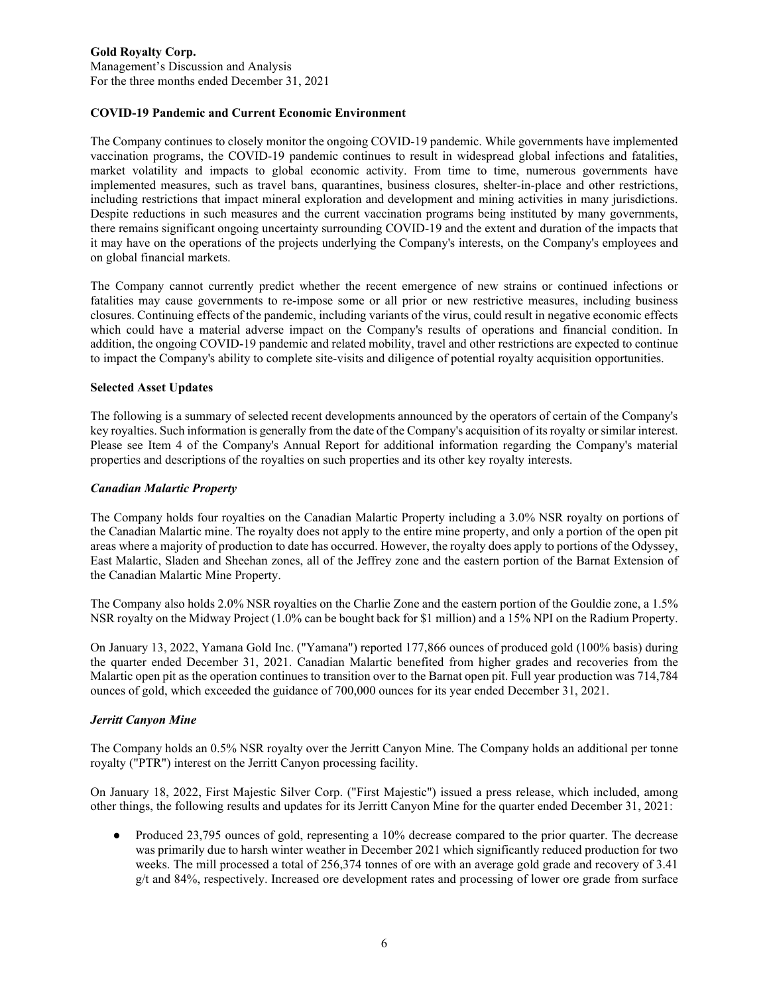Management's Discussion and Analysis For the three months ended December 31, 2021

# **COVID-19 Pandemic and Current Economic Environment**

The Company continues to closely monitor the ongoing COVID-19 pandemic. While governments have implemented vaccination programs, the COVID-19 pandemic continues to result in widespread global infections and fatalities, market volatility and impacts to global economic activity. From time to time, numerous governments have implemented measures, such as travel bans, quarantines, business closures, shelter-in-place and other restrictions, including restrictions that impact mineral exploration and development and mining activities in many jurisdictions. Despite reductions in such measures and the current vaccination programs being instituted by many governments, there remains significant ongoing uncertainty surrounding COVID-19 and the extent and duration of the impacts that it may have on the operations of the projects underlying the Company's interests, on the Company's employees and on global financial markets.

The Company cannot currently predict whether the recent emergence of new strains or continued infections or fatalities may cause governments to re-impose some or all prior or new restrictive measures, including business closures. Continuing effects of the pandemic, including variants of the virus, could result in negative economic effects which could have a material adverse impact on the Company's results of operations and financial condition. In addition, the ongoing COVID-19 pandemic and related mobility, travel and other restrictions are expected to continue to impact the Company's ability to complete site-visits and diligence of potential royalty acquisition opportunities.

#### **Selected Asset Updates**

The following is a summary of selected recent developments announced by the operators of certain of the Company's key royalties. Such information is generally from the date of the Company's acquisition of its royalty or similar interest. Please see Item 4 of the Company's Annual Report for additional information regarding the Company's material properties and descriptions of the royalties on such properties and its other key royalty interests.

#### *Canadian Malartic Property*

The Company holds four royalties on the Canadian Malartic Property including a 3.0% NSR royalty on portions of the Canadian Malartic mine. The royalty does not apply to the entire mine property, and only a portion of the open pit areas where a majority of production to date has occurred. However, the royalty does apply to portions of the Odyssey, East Malartic, Sladen and Sheehan zones, all of the Jeffrey zone and the eastern portion of the Barnat Extension of the Canadian Malartic Mine Property.

The Company also holds 2.0% NSR royalties on the Charlie Zone and the eastern portion of the Gouldie zone, a 1.5% NSR royalty on the Midway Project (1.0% can be bought back for \$1 million) and a 15% NPI on the Radium Property.

On January 13, 2022, Yamana Gold Inc. ("Yamana") reported 177,866 ounces of produced gold (100% basis) during the quarter ended December 31, 2021. Canadian Malartic benefited from higher grades and recoveries from the Malartic open pit as the operation continues to transition over to the Barnat open pit. Full year production was 714,784 ounces of gold, which exceeded the guidance of 700,000 ounces for its year ended December 31, 2021.

#### *Jerritt Canyon Mine*

The Company holds an 0.5% NSR royalty over the Jerritt Canyon Mine. The Company holds an additional per tonne royalty ("PTR") interest on the Jerritt Canyon processing facility.

On January 18, 2022, First Majestic Silver Corp. ("First Majestic") issued a press release, which included, among other things, the following results and updates for its Jerritt Canyon Mine for the quarter ended December 31, 2021:

• Produced 23,795 ounces of gold, representing a 10% decrease compared to the prior quarter. The decrease was primarily due to harsh winter weather in December 2021 which significantly reduced production for two weeks. The mill processed a total of 256,374 tonnes of ore with an average gold grade and recovery of 3.41 g/t and 84%, respectively. Increased ore development rates and processing of lower ore grade from surface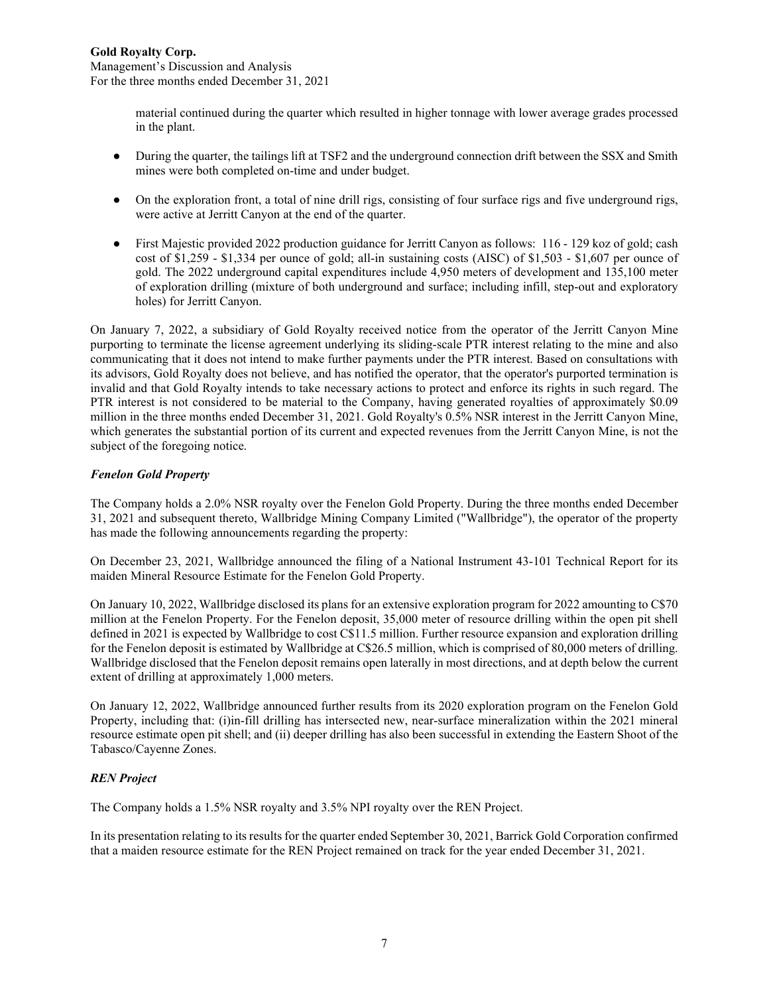material continued during the quarter which resulted in higher tonnage with lower average grades processed in the plant.

- During the quarter, the tailings lift at TSF2 and the underground connection drift between the SSX and Smith mines were both completed on-time and under budget.
- On the exploration front, a total of nine drill rigs, consisting of four surface rigs and five underground rigs, were active at Jerritt Canyon at the end of the quarter.
- First Majestic provided 2022 production guidance for Jerritt Canyon as follows: 116 129 koz of gold; cash cost of \$1,259 - \$1,334 per ounce of gold; all-in sustaining costs (AISC) of \$1,503 - \$1,607 per ounce of gold. The 2022 underground capital expenditures include 4,950 meters of development and 135,100 meter of exploration drilling (mixture of both underground and surface; including infill, step-out and exploratory holes) for Jerritt Canyon.

On January 7, 2022, a subsidiary of Gold Royalty received notice from the operator of the Jerritt Canyon Mine purporting to terminate the license agreement underlying its sliding-scale PTR interest relating to the mine and also communicating that it does not intend to make further payments under the PTR interest. Based on consultations with its advisors, Gold Royalty does not believe, and has notified the operator, that the operator's purported termination is invalid and that Gold Royalty intends to take necessary actions to protect and enforce its rights in such regard. The PTR interest is not considered to be material to the Company, having generated royalties of approximately \$0.09 million in the three months ended December 31, 2021. Gold Royalty's 0.5% NSR interest in the Jerritt Canyon Mine, which generates the substantial portion of its current and expected revenues from the Jerritt Canyon Mine, is not the subject of the foregoing notice.

# *Fenelon Gold Property*

The Company holds a 2.0% NSR royalty over the Fenelon Gold Property. During the three months ended December 31, 2021 and subsequent thereto, Wallbridge Mining Company Limited ("Wallbridge"), the operator of the property has made the following announcements regarding the property:

On December 23, 2021, Wallbridge announced the filing of a National Instrument 43-101 Technical Report for its maiden Mineral Resource Estimate for the Fenelon Gold Property.

On January 10, 2022, Wallbridge disclosed its plans for an extensive exploration program for 2022 amounting to C\$70 million at the Fenelon Property. For the Fenelon deposit, 35,000 meter of resource drilling within the open pit shell defined in 2021 is expected by Wallbridge to cost C\$11.5 million. Further resource expansion and exploration drilling for the Fenelon deposit is estimated by Wallbridge at C\$26.5 million, which is comprised of 80,000 meters of drilling. Wallbridge disclosed that the Fenelon deposit remains open laterally in most directions, and at depth below the current extent of drilling at approximately 1,000 meters.

On January 12, 2022, Wallbridge announced further results from its 2020 exploration program on the Fenelon Gold Property, including that: (i)in-fill drilling has intersected new, near-surface mineralization within the 2021 mineral resource estimate open pit shell; and (ii) deeper drilling has also been successful in extending the Eastern Shoot of the Tabasco/Cayenne Zones.

# *REN Project*

The Company holds a 1.5% NSR royalty and 3.5% NPI royalty over the REN Project.

In its presentation relating to its results for the quarter ended September 30, 2021, Barrick Gold Corporation confirmed that a maiden resource estimate for the REN Project remained on track for the year ended December 31, 2021.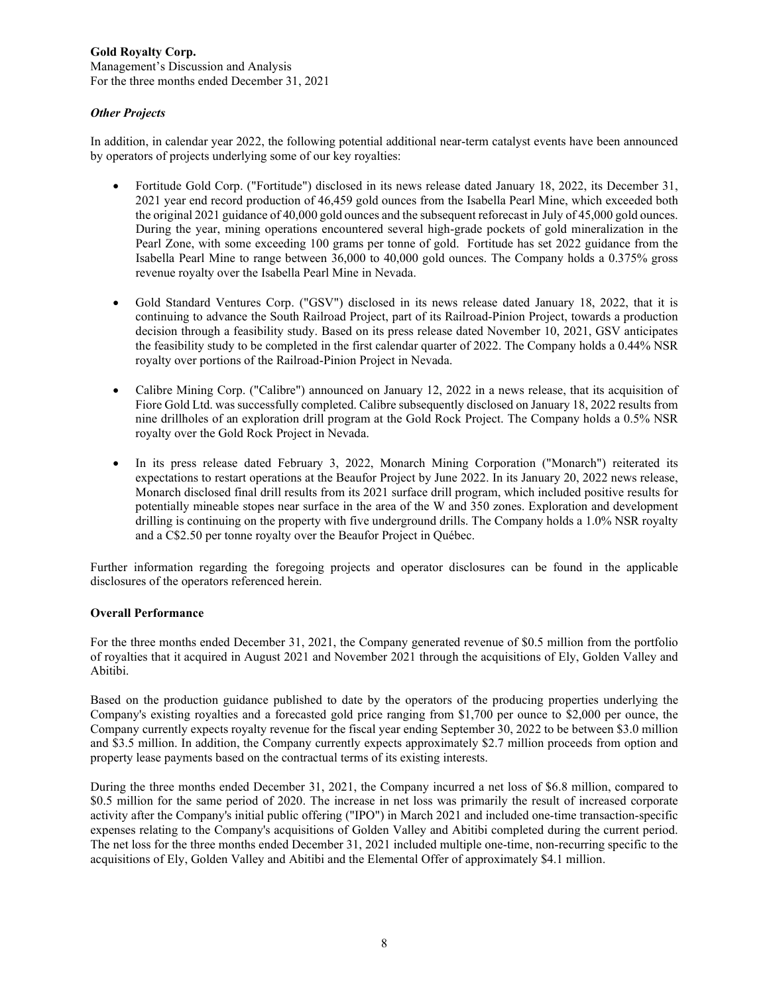Management's Discussion and Analysis For the three months ended December 31, 2021

# *Other Projects*

In addition, in calendar year 2022, the following potential additional near-term catalyst events have been announced by operators of projects underlying some of our key royalties:

- Fortitude Gold Corp. ("Fortitude") disclosed in its news release dated January 18, 2022, its December 31, 2021 year end record production of 46,459 gold ounces from the Isabella Pearl Mine, which exceeded both the original 2021 guidance of 40,000 gold ounces and the subsequent reforecast in July of 45,000 gold ounces. During the year, mining operations encountered several high-grade pockets of gold mineralization in the Pearl Zone, with some exceeding 100 grams per tonne of gold. Fortitude has set 2022 guidance from the Isabella Pearl Mine to range between 36,000 to 40,000 gold ounces. The Company holds a 0.375% gross revenue royalty over the Isabella Pearl Mine in Nevada.
- Gold Standard Ventures Corp. ("GSV") disclosed in its news release dated January 18, 2022, that it is continuing to advance the South Railroad Project, part of its Railroad-Pinion Project, towards a production decision through a feasibility study. Based on its press release dated November 10, 2021, GSV anticipates the feasibility study to be completed in the first calendar quarter of 2022. The Company holds a 0.44% NSR royalty over portions of the Railroad-Pinion Project in Nevada.
- Calibre Mining Corp. ("Calibre") announced on January 12, 2022 in a news release, that its acquisition of Fiore Gold Ltd. was successfully completed. Calibre subsequently disclosed on January 18, 2022 results from nine drillholes of an exploration drill program at the Gold Rock Project. The Company holds a 0.5% NSR royalty over the Gold Rock Project in Nevada.
- In its press release dated February 3, 2022, Monarch Mining Corporation ("Monarch") reiterated its expectations to restart operations at the Beaufor Project by June 2022. In its January 20, 2022 news release, Monarch disclosed final drill results from its 2021 surface drill program, which included positive results for potentially mineable stopes near surface in the area of the W and 350 zones. Exploration and development drilling is continuing on the property with five underground drills. The Company holds a 1.0% NSR royalty and a C\$2.50 per tonne royalty over the Beaufor Project in Québec.

Further information regarding the foregoing projects and operator disclosures can be found in the applicable disclosures of the operators referenced herein.

# **Overall Performance**

For the three months ended December 31, 2021, the Company generated revenue of \$0.5 million from the portfolio of royalties that it acquired in August 2021 and November 2021 through the acquisitions of Ely, Golden Valley and Abitibi.

Based on the production guidance published to date by the operators of the producing properties underlying the Company's existing royalties and a forecasted gold price ranging from \$1,700 per ounce to \$2,000 per ounce, the Company currently expects royalty revenue for the fiscal year ending September 30, 2022 to be between \$3.0 million and \$3.5 million. In addition, the Company currently expects approximately \$2.7 million proceeds from option and property lease payments based on the contractual terms of its existing interests.

During the three months ended December 31, 2021, the Company incurred a net loss of \$6.8 million, compared to \$0.5 million for the same period of 2020. The increase in net loss was primarily the result of increased corporate activity after the Company's initial public offering ("IPO") in March 2021 and included one-time transaction-specific expenses relating to the Company's acquisitions of Golden Valley and Abitibi completed during the current period. The net loss for the three months ended December 31, 2021 included multiple one-time, non-recurring specific to the acquisitions of Ely, Golden Valley and Abitibi and the Elemental Offer of approximately \$4.1 million.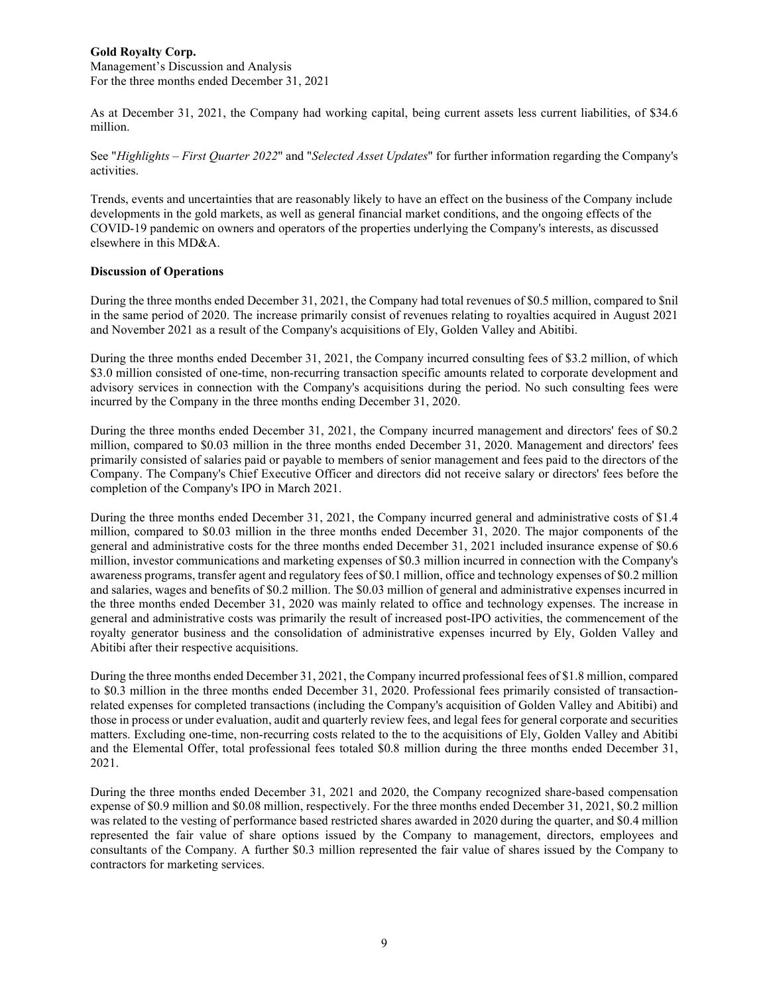Management's Discussion and Analysis For the three months ended December 31, 2021

As at December 31, 2021, the Company had working capital, being current assets less current liabilities, of \$34.6 million.

See "*Highlights – First Quarter 2022*" and "*Selected Asset Updates*" for further information regarding the Company's activities.

Trends, events and uncertainties that are reasonably likely to have an effect on the business of the Company include developments in the gold markets, as well as general financial market conditions, and the ongoing effects of the COVID-19 pandemic on owners and operators of the properties underlying the Company's interests, as discussed elsewhere in this MD&A.

#### **Discussion of Operations**

During the three months ended December 31, 2021, the Company had total revenues of \$0.5 million, compared to \$nil in the same period of 2020. The increase primarily consist of revenues relating to royalties acquired in August 2021 and November 2021 as a result of the Company's acquisitions of Ely, Golden Valley and Abitibi.

During the three months ended December 31, 2021, the Company incurred consulting fees of \$3.2 million, of which \$3.0 million consisted of one-time, non-recurring transaction specific amounts related to corporate development and advisory services in connection with the Company's acquisitions during the period. No such consulting fees were incurred by the Company in the three months ending December 31, 2020.

During the three months ended December 31, 2021, the Company incurred management and directors' fees of \$0.2 million, compared to \$0.03 million in the three months ended December 31, 2020. Management and directors' fees primarily consisted of salaries paid or payable to members of senior management and fees paid to the directors of the Company. The Company's Chief Executive Officer and directors did not receive salary or directors' fees before the completion of the Company's IPO in March 2021.

During the three months ended December 31, 2021, the Company incurred general and administrative costs of \$1.4 million, compared to \$0.03 million in the three months ended December 31, 2020. The major components of the general and administrative costs for the three months ended December 31, 2021 included insurance expense of \$0.6 million, investor communications and marketing expenses of \$0.3 million incurred in connection with the Company's awareness programs, transfer agent and regulatory fees of \$0.1 million, office and technology expenses of \$0.2 million and salaries, wages and benefits of \$0.2 million. The \$0.03 million of general and administrative expenses incurred in the three months ended December 31, 2020 was mainly related to office and technology expenses. The increase in general and administrative costs was primarily the result of increased post-IPO activities, the commencement of the royalty generator business and the consolidation of administrative expenses incurred by Ely, Golden Valley and Abitibi after their respective acquisitions.

During the three months ended December 31, 2021, the Company incurred professional fees of \$1.8 million, compared to \$0.3 million in the three months ended December 31, 2020. Professional fees primarily consisted of transactionrelated expenses for completed transactions (including the Company's acquisition of Golden Valley and Abitibi) and those in process or under evaluation, audit and quarterly review fees, and legal fees for general corporate and securities matters. Excluding one-time, non-recurring costs related to the to the acquisitions of Ely, Golden Valley and Abitibi and the Elemental Offer, total professional fees totaled \$0.8 million during the three months ended December 31, 2021.

During the three months ended December 31, 2021 and 2020, the Company recognized share-based compensation expense of \$0.9 million and \$0.08 million, respectively. For the three months ended December 31, 2021, \$0.2 million was related to the vesting of performance based restricted shares awarded in 2020 during the quarter, and \$0.4 million represented the fair value of share options issued by the Company to management, directors, employees and consultants of the Company. A further \$0.3 million represented the fair value of shares issued by the Company to contractors for marketing services.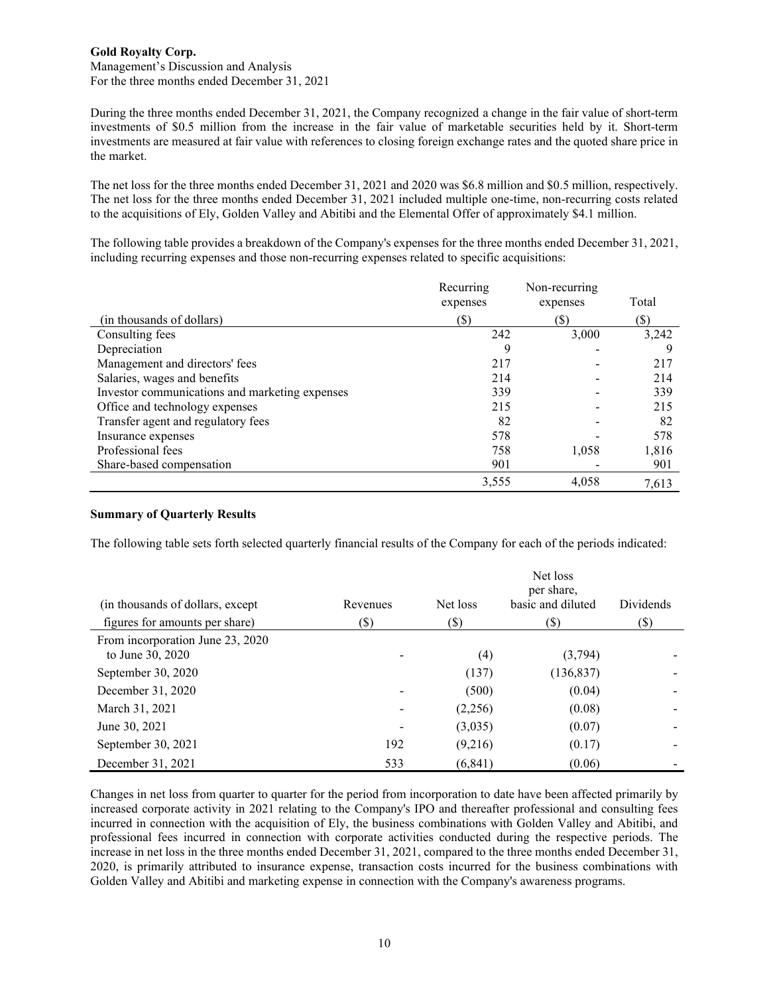Management's Discussion and Analysis For the three months ended December 31, 2021

During the three months ended December 31, 2021, the Company recognized a change in the fair value of short-term investments of \$0.5 million from the increase in the fair value of marketable securities held by it. Short-term investments are measured at fair value with references to closing foreign exchange rates and the quoted share price in the market.

The net loss for the three months ended December 31, 2021 and 2020 was \$6.8 million and \$0.5 million, respectively. The net loss for the three months ended December 31, 2021 included multiple one-time, non-recurring costs related to the acquisitions of Ely, Golden Valley and Abitibi and the Elemental Offer of approximately \$4.1 million.

The following table provides a breakdown of the Company's expenses for the three months ended December 31, 2021, including recurring expenses and those non-recurring expenses related to specific acquisitions:

|                                                | Recurring<br>expenses | Non-recurring<br>expenses | Total  |
|------------------------------------------------|-----------------------|---------------------------|--------|
| (in thousands of dollars)                      | (\$)                  | (S)                       | $(\$)$ |
| Consulting fees                                | 242                   | 3,000                     | 3,242  |
| Depreciation                                   | 9                     |                           |        |
| Management and directors' fees                 | 217                   |                           | 217    |
| Salaries, wages and benefits                   | 214                   |                           | 214    |
| Investor communications and marketing expenses | 339                   |                           | 339    |
| Office and technology expenses                 | 215                   |                           | 215    |
| Transfer agent and regulatory fees             | 82                    |                           | 82     |
| Insurance expenses                             | 578                   |                           | 578    |
| Professional fees                              | 758                   | 1,058                     | 1,816  |
| Share-based compensation                       | 901                   |                           | 901    |
|                                                | 3,555                 | 4.058                     | 7.613  |

# **Summary of Quarterly Results**

The following table sets forth selected quarterly financial results of the Company for each of the periods indicated:

| (in thousands of dollars, except)<br>figures for amounts per share) | Revenues<br>(S) | Net loss<br>(\$) | Net loss<br>per share,<br>basic and diluted<br>(\$) | <b>Dividends</b><br>$(\$\mathbf{)}$ |
|---------------------------------------------------------------------|-----------------|------------------|-----------------------------------------------------|-------------------------------------|
| From incorporation June 23, 2020                                    |                 |                  |                                                     |                                     |
| to June 30, 2020                                                    |                 | (4)              | (3,794)                                             |                                     |
| September 30, 2020                                                  |                 | (137)            | (136, 837)                                          |                                     |
| December 31, 2020                                                   |                 | (500)            | (0.04)                                              |                                     |
| March 31, 2021                                                      |                 | (2,256)          | (0.08)                                              |                                     |
| June 30, 2021                                                       |                 | (3,035)          | (0.07)                                              |                                     |
| September 30, 2021                                                  | 192             | (9,216)          | (0.17)                                              |                                     |
| December 31, 2021                                                   | 533             | (6, 841)         | (0.06)                                              |                                     |

Changes in net loss from quarter to quarter for the period from incorporation to date have been affected primarily by increased corporate activity in 2021 relating to the Company's IPO and thereafter professional and consulting fees incurred in connection with the acquisition of Ely, the business combinations with Golden Valley and Abitibi, and professional fees incurred in connection with corporate activities conducted during the respective periods. The increase in net loss in the three months ended December 31, 2021, compared to the three months ended December 31, 2020, is primarily attributed to insurance expense, transaction costs incurred for the business combinations with Golden Valley and Abitibi and marketing expense in connection with the Company's awareness programs.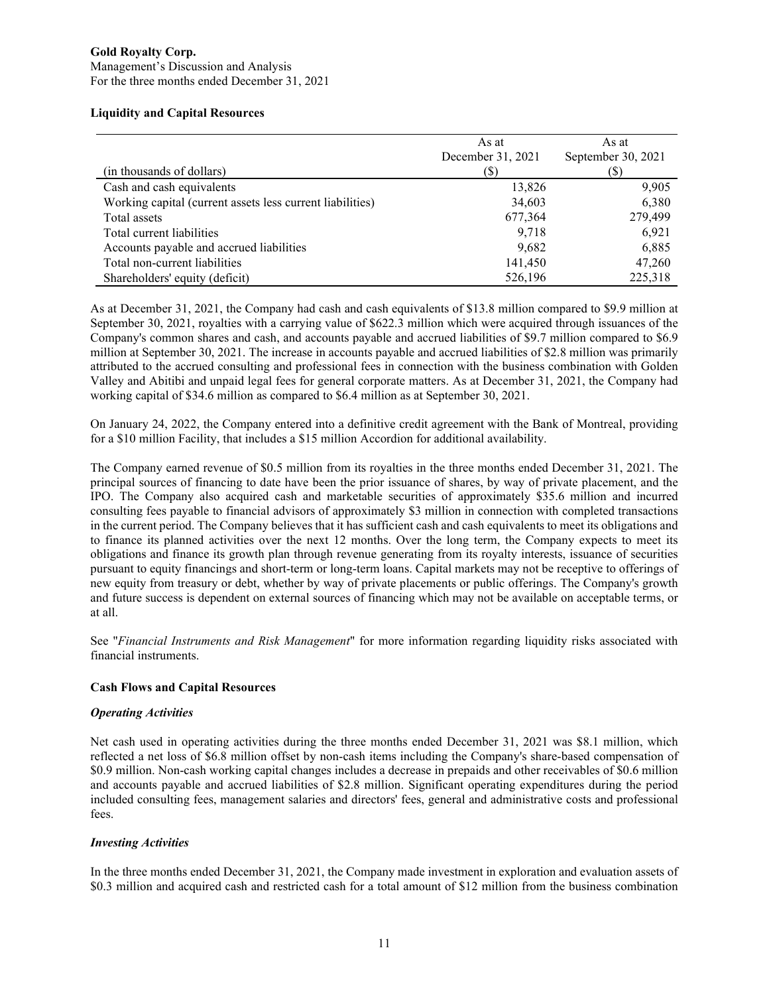# **Gold Royalty Corp.** Management's Discussion and Analysis

For the three months ended December 31, 2021

### **Liquidity and Capital Resources**

|                                                           | As at<br>December 31, 2021 | As at<br>September 30, 2021 |
|-----------------------------------------------------------|----------------------------|-----------------------------|
| (in thousands of dollars)                                 | (S)                        | (S)                         |
| Cash and cash equivalents                                 | 13,826                     | 9,905                       |
| Working capital (current assets less current liabilities) | 34,603                     | 6,380                       |
| Total assets                                              | 677,364                    | 279,499                     |
| Total current liabilities                                 | 9,718                      | 6,921                       |
| Accounts payable and accrued liabilities                  | 9,682                      | 6,885                       |
| Total non-current liabilities                             | 141,450                    | 47,260                      |
| Shareholders' equity (deficit)                            | 526,196                    | 225,318                     |

As at December 31, 2021, the Company had cash and cash equivalents of \$13.8 million compared to \$9.9 million at September 30, 2021, royalties with a carrying value of \$622.3 million which were acquired through issuances of the Company's common shares and cash, and accounts payable and accrued liabilities of \$9.7 million compared to \$6.9 million at September 30, 2021. The increase in accounts payable and accrued liabilities of \$2.8 million was primarily attributed to the accrued consulting and professional fees in connection with the business combination with Golden Valley and Abitibi and unpaid legal fees for general corporate matters. As at December 31, 2021, the Company had working capital of \$34.6 million as compared to \$6.4 million as at September 30, 2021.

On January 24, 2022, the Company entered into a definitive credit agreement with the Bank of Montreal, providing for a \$10 million Facility, that includes a \$15 million Accordion for additional availability.

The Company earned revenue of \$0.5 million from its royalties in the three months ended December 31, 2021. The principal sources of financing to date have been the prior issuance of shares, by way of private placement, and the IPO. The Company also acquired cash and marketable securities of approximately \$35.6 million and incurred consulting fees payable to financial advisors of approximately \$3 million in connection with completed transactions in the current period. The Company believes that it has sufficient cash and cash equivalents to meet its obligations and to finance its planned activities over the next 12 months. Over the long term, the Company expects to meet its obligations and finance its growth plan through revenue generating from its royalty interests, issuance of securities pursuant to equity financings and short-term or long-term loans. Capital markets may not be receptive to offerings of new equity from treasury or debt, whether by way of private placements or public offerings. The Company's growth and future success is dependent on external sources of financing which may not be available on acceptable terms, or at all.

See "*Financial Instruments and Risk Management*" for more information regarding liquidity risks associated with financial instruments.

# **Cash Flows and Capital Resources**

# *Operating Activities*

Net cash used in operating activities during the three months ended December 31, 2021 was \$8.1 million, which reflected a net loss of \$6.8 million offset by non-cash items including the Company's share-based compensation of \$0.9 million. Non-cash working capital changes includes a decrease in prepaids and other receivables of \$0.6 million and accounts payable and accrued liabilities of \$2.8 million. Significant operating expenditures during the period included consulting fees, management salaries and directors' fees, general and administrative costs and professional fees.

# *Investing Activities*

In the three months ended December 31, 2021, the Company made investment in exploration and evaluation assets of \$0.3 million and acquired cash and restricted cash for a total amount of \$12 million from the business combination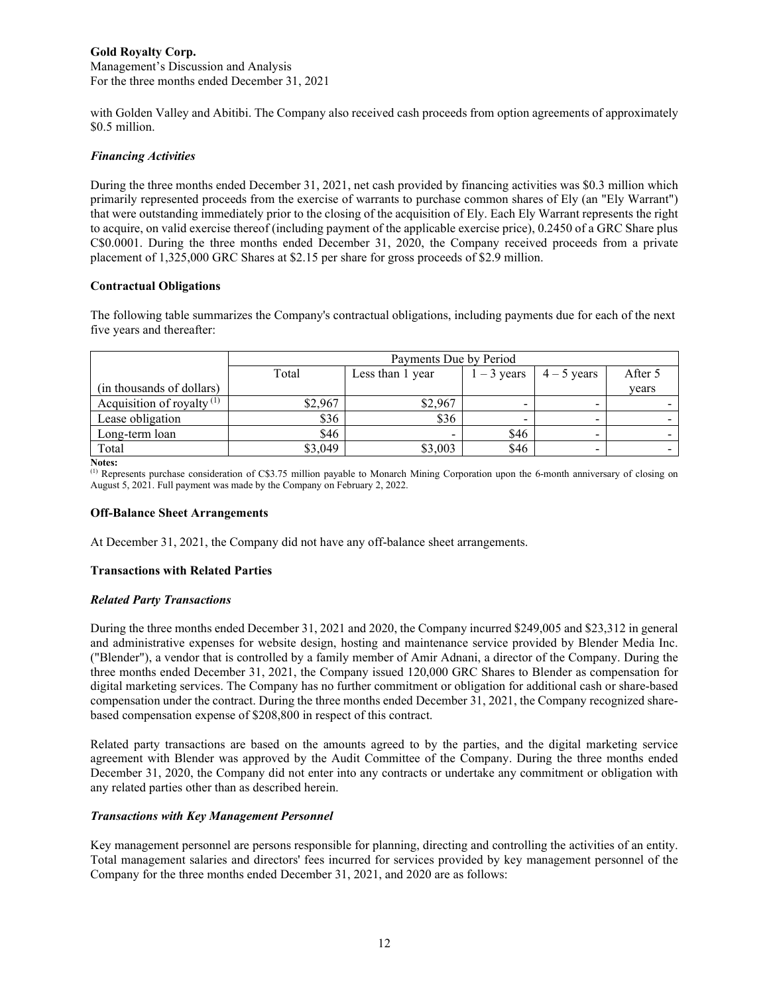Management's Discussion and Analysis For the three months ended December 31, 2021

with Golden Valley and Abitibi. The Company also received cash proceeds from option agreements of approximately \$0.5 million.

# *Financing Activities*

During the three months ended December 31, 2021, net cash provided by financing activities was \$0.3 million which primarily represented proceeds from the exercise of warrants to purchase common shares of Ely (an "Ely Warrant") that were outstanding immediately prior to the closing of the acquisition of Ely. Each Ely Warrant represents the right to acquire, on valid exercise thereof (including payment of the applicable exercise price), 0.2450 of a GRC Share plus C\$0.0001. During the three months ended December 31, 2020, the Company received proceeds from a private placement of 1,325,000 GRC Shares at \$2.15 per share for gross proceeds of \$2.9 million.

#### **Contractual Obligations**

The following table summarizes the Company's contractual obligations, including payments due for each of the next five years and thereafter:

|                              | Payments Due by Period |                          |               |                          |         |
|------------------------------|------------------------|--------------------------|---------------|--------------------------|---------|
|                              | Total                  | Less than 1 year         | $1 - 3$ years | $4 - 5$ years            | After 5 |
| (in thousands of dollars)    |                        |                          |               |                          | years   |
| Acquisition of royalty $(1)$ | \$2,967                | \$2,967                  |               | $\overline{\phantom{0}}$ |         |
| Lease obligation             | \$36                   | \$36                     |               | $\blacksquare$           |         |
| Long-term loan               | \$46                   | $\overline{\phantom{a}}$ | \$46          | $\overline{\phantom{a}}$ |         |
| Total                        | \$3,049                | \$3,003                  | \$46          | $\overline{\phantom{0}}$ |         |

**Notes:**

(1) Represents purchase consideration of C\$3.75 million payable to Monarch Mining Corporation upon the 6-month anniversary of closing on August 5, 2021. Full payment was made by the Company on February 2, 2022.

#### **Off-Balance Sheet Arrangements**

At December 31, 2021, the Company did not have any off-balance sheet arrangements.

# **Transactions with Related Parties**

#### *Related Party Transactions*

During the three months ended December 31, 2021 and 2020, the Company incurred \$249,005 and \$23,312 in general and administrative expenses for website design, hosting and maintenance service provided by Blender Media Inc. ("Blender"), a vendor that is controlled by a family member of Amir Adnani, a director of the Company. During the three months ended December 31, 2021, the Company issued 120,000 GRC Shares to Blender as compensation for digital marketing services. The Company has no further commitment or obligation for additional cash or share-based compensation under the contract. During the three months ended December 31, 2021, the Company recognized sharebased compensation expense of \$208,800 in respect of this contract.

Related party transactions are based on the amounts agreed to by the parties, and the digital marketing service agreement with Blender was approved by the Audit Committee of the Company. During the three months ended December 31, 2020, the Company did not enter into any contracts or undertake any commitment or obligation with any related parties other than as described herein.

# *Transactions with Key Management Personnel*

Key management personnel are persons responsible for planning, directing and controlling the activities of an entity. Total management salaries and directors' fees incurred for services provided by key management personnel of the Company for the three months ended December 31, 2021, and 2020 are as follows: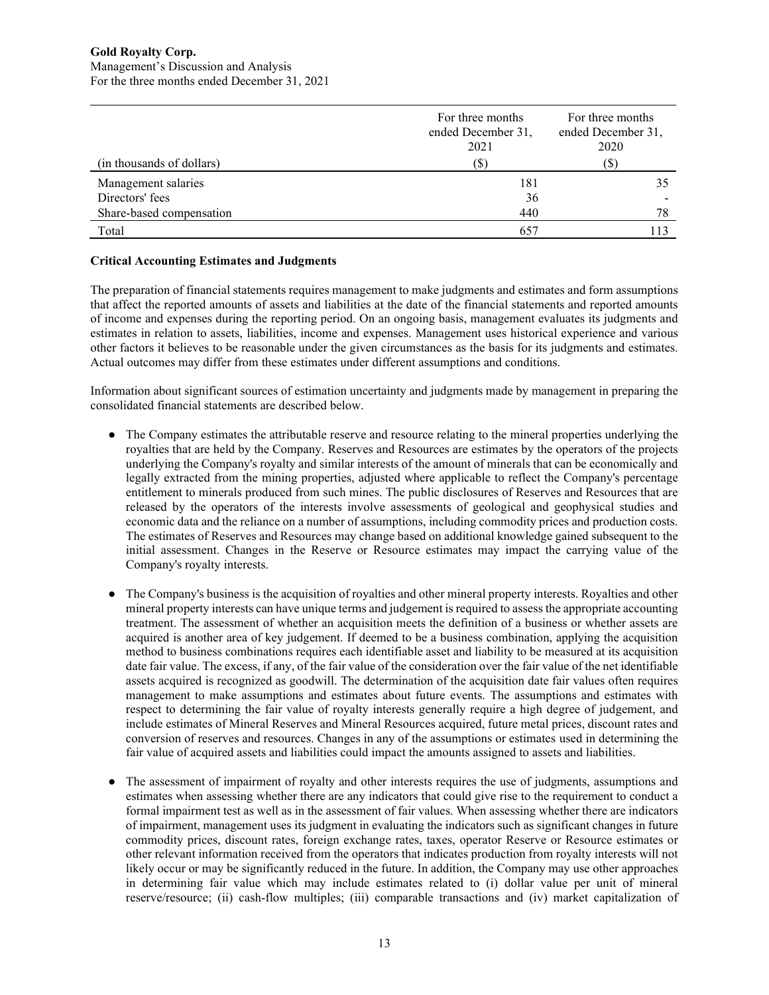|                           | For three months<br>ended December 31,<br>2021 | For three months<br>ended December 31,<br>2020 |  |
|---------------------------|------------------------------------------------|------------------------------------------------|--|
| (in thousands of dollars) | $\mathcal{P}$                                  | (\$)                                           |  |
| Management salaries       | 181                                            |                                                |  |
| Directors' fees           | 36                                             |                                                |  |
| Share-based compensation  | 440                                            | 78                                             |  |
| Total                     | 657                                            |                                                |  |

# **Critical Accounting Estimates and Judgments**

The preparation of financial statements requires management to make judgments and estimates and form assumptions that affect the reported amounts of assets and liabilities at the date of the financial statements and reported amounts of income and expenses during the reporting period. On an ongoing basis, management evaluates its judgments and estimates in relation to assets, liabilities, income and expenses. Management uses historical experience and various other factors it believes to be reasonable under the given circumstances as the basis for its judgments and estimates. Actual outcomes may differ from these estimates under different assumptions and conditions.

Information about significant sources of estimation uncertainty and judgments made by management in preparing the consolidated financial statements are described below.

- The Company estimates the attributable reserve and resource relating to the mineral properties underlying the royalties that are held by the Company. Reserves and Resources are estimates by the operators of the projects underlying the Company's royalty and similar interests of the amount of minerals that can be economically and legally extracted from the mining properties, adjusted where applicable to reflect the Company's percentage entitlement to minerals produced from such mines. The public disclosures of Reserves and Resources that are released by the operators of the interests involve assessments of geological and geophysical studies and economic data and the reliance on a number of assumptions, including commodity prices and production costs. The estimates of Reserves and Resources may change based on additional knowledge gained subsequent to the initial assessment. Changes in the Reserve or Resource estimates may impact the carrying value of the Company's royalty interests.
- The Company's business is the acquisition of royalties and other mineral property interests. Royalties and other mineral property interests can have unique terms and judgement is required to assess the appropriate accounting treatment. The assessment of whether an acquisition meets the definition of a business or whether assets are acquired is another area of key judgement. If deemed to be a business combination, applying the acquisition method to business combinations requires each identifiable asset and liability to be measured at its acquisition date fair value. The excess, if any, of the fair value of the consideration over the fair value of the net identifiable assets acquired is recognized as goodwill. The determination of the acquisition date fair values often requires management to make assumptions and estimates about future events. The assumptions and estimates with respect to determining the fair value of royalty interests generally require a high degree of judgement, and include estimates of Mineral Reserves and Mineral Resources acquired, future metal prices, discount rates and conversion of reserves and resources. Changes in any of the assumptions or estimates used in determining the fair value of acquired assets and liabilities could impact the amounts assigned to assets and liabilities.
- The assessment of impairment of royalty and other interests requires the use of judgments, assumptions and estimates when assessing whether there are any indicators that could give rise to the requirement to conduct a formal impairment test as well as in the assessment of fair values. When assessing whether there are indicators of impairment, management uses its judgment in evaluating the indicators such as significant changes in future commodity prices, discount rates, foreign exchange rates, taxes, operator Reserve or Resource estimates or other relevant information received from the operators that indicates production from royalty interests will not likely occur or may be significantly reduced in the future. In addition, the Company may use other approaches in determining fair value which may include estimates related to (i) dollar value per unit of mineral reserve/resource; (ii) cash-flow multiples; (iii) comparable transactions and (iv) market capitalization of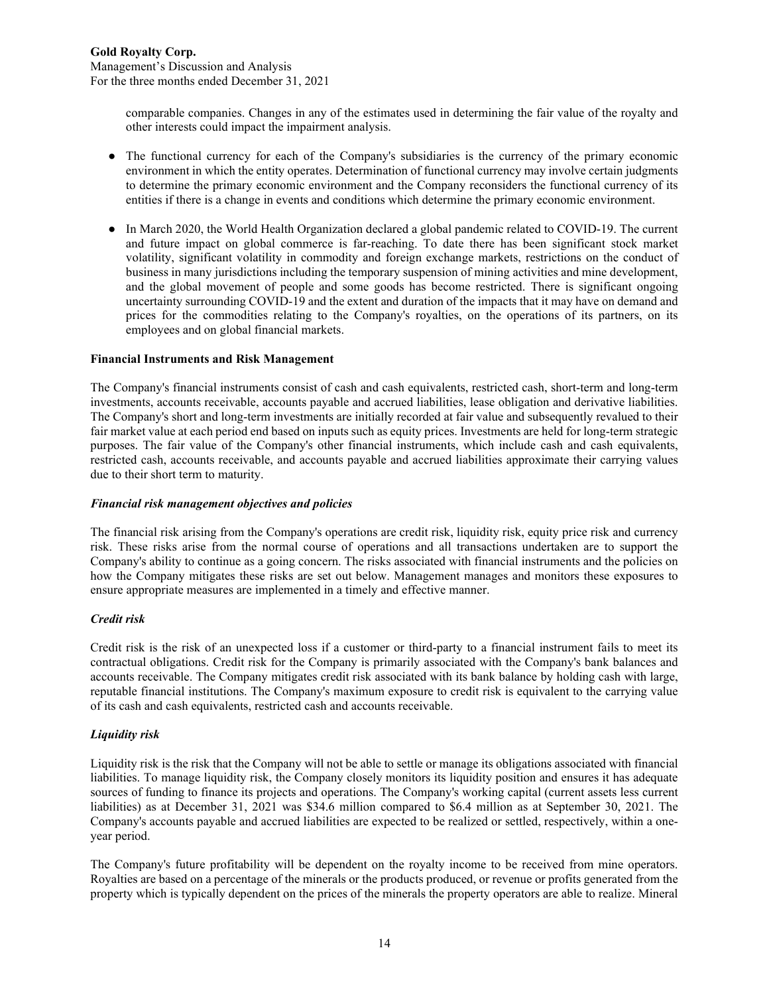Management's Discussion and Analysis For the three months ended December 31, 2021

> comparable companies. Changes in any of the estimates used in determining the fair value of the royalty and other interests could impact the impairment analysis.

- The functional currency for each of the Company's subsidiaries is the currency of the primary economic environment in which the entity operates. Determination of functional currency may involve certain judgments to determine the primary economic environment and the Company reconsiders the functional currency of its entities if there is a change in events and conditions which determine the primary economic environment.
- In March 2020, the World Health Organization declared a global pandemic related to COVID-19. The current and future impact on global commerce is far-reaching. To date there has been significant stock market volatility, significant volatility in commodity and foreign exchange markets, restrictions on the conduct of business in many jurisdictions including the temporary suspension of mining activities and mine development, and the global movement of people and some goods has become restricted. There is significant ongoing uncertainty surrounding COVID-19 and the extent and duration of the impacts that it may have on demand and prices for the commodities relating to the Company's royalties, on the operations of its partners, on its employees and on global financial markets.

#### **Financial Instruments and Risk Management**

The Company's financial instruments consist of cash and cash equivalents, restricted cash, short-term and long-term investments, accounts receivable, accounts payable and accrued liabilities, lease obligation and derivative liabilities. The Company's short and long-term investments are initially recorded at fair value and subsequently revalued to their fair market value at each period end based on inputs such as equity prices. Investments are held for long-term strategic purposes. The fair value of the Company's other financial instruments, which include cash and cash equivalents, restricted cash, accounts receivable, and accounts payable and accrued liabilities approximate their carrying values due to their short term to maturity.

#### *Financial risk management objectives and policies*

The financial risk arising from the Company's operations are credit risk, liquidity risk, equity price risk and currency risk. These risks arise from the normal course of operations and all transactions undertaken are to support the Company's ability to continue as a going concern. The risks associated with financial instruments and the policies on how the Company mitigates these risks are set out below. Management manages and monitors these exposures to ensure appropriate measures are implemented in a timely and effective manner.

# *Credit risk*

Credit risk is the risk of an unexpected loss if a customer or third-party to a financial instrument fails to meet its contractual obligations. Credit risk for the Company is primarily associated with the Company's bank balances and accounts receivable. The Company mitigates credit risk associated with its bank balance by holding cash with large, reputable financial institutions. The Company's maximum exposure to credit risk is equivalent to the carrying value of its cash and cash equivalents, restricted cash and accounts receivable.

# *Liquidity risk*

Liquidity risk is the risk that the Company will not be able to settle or manage its obligations associated with financial liabilities. To manage liquidity risk, the Company closely monitors its liquidity position and ensures it has adequate sources of funding to finance its projects and operations. The Company's working capital (current assets less current liabilities) as at December 31, 2021 was \$34.6 million compared to \$6.4 million as at September 30, 2021. The Company's accounts payable and accrued liabilities are expected to be realized or settled, respectively, within a oneyear period.

The Company's future profitability will be dependent on the royalty income to be received from mine operators. Royalties are based on a percentage of the minerals or the products produced, or revenue or profits generated from the property which is typically dependent on the prices of the minerals the property operators are able to realize. Mineral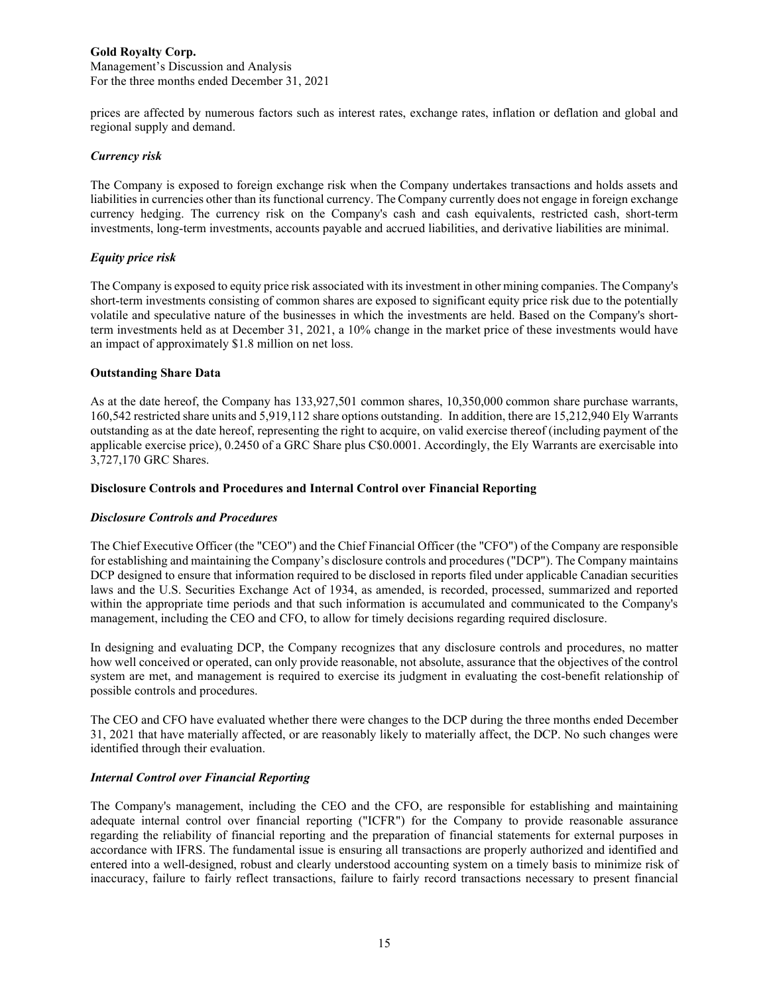prices are affected by numerous factors such as interest rates, exchange rates, inflation or deflation and global and regional supply and demand.

#### *Currency risk*

The Company is exposed to foreign exchange risk when the Company undertakes transactions and holds assets and liabilities in currencies other than its functional currency. The Company currently does not engage in foreign exchange currency hedging. The currency risk on the Company's cash and cash equivalents, restricted cash, short-term investments, long-term investments, accounts payable and accrued liabilities, and derivative liabilities are minimal.

#### *Equity price risk*

The Company is exposed to equity price risk associated with its investment in other mining companies. The Company's short-term investments consisting of common shares are exposed to significant equity price risk due to the potentially volatile and speculative nature of the businesses in which the investments are held. Based on the Company's shortterm investments held as at December 31, 2021, a 10% change in the market price of these investments would have an impact of approximately \$1.8 million on net loss.

#### **Outstanding Share Data**

As at the date hereof, the Company has 133,927,501 common shares, 10,350,000 common share purchase warrants, 160,542 restricted share units and 5,919,112 share options outstanding. In addition, there are 15,212,940 Ely Warrants outstanding as at the date hereof, representing the right to acquire, on valid exercise thereof (including payment of the applicable exercise price), 0.2450 of a GRC Share plus C\$0.0001. Accordingly, the Ely Warrants are exercisable into 3,727,170 GRC Shares.

#### **Disclosure Controls and Procedures and Internal Control over Financial Reporting**

#### *Disclosure Controls and Procedures*

The Chief Executive Officer (the "CEO") and the Chief Financial Officer (the "CFO") of the Company are responsible for establishing and maintaining the Company's disclosure controls and procedures ("DCP"). The Company maintains DCP designed to ensure that information required to be disclosed in reports filed under applicable Canadian securities laws and the U.S. Securities Exchange Act of 1934, as amended, is recorded, processed, summarized and reported within the appropriate time periods and that such information is accumulated and communicated to the Company's management, including the CEO and CFO, to allow for timely decisions regarding required disclosure.

In designing and evaluating DCP, the Company recognizes that any disclosure controls and procedures, no matter how well conceived or operated, can only provide reasonable, not absolute, assurance that the objectives of the control system are met, and management is required to exercise its judgment in evaluating the cost-benefit relationship of possible controls and procedures.

The CEO and CFO have evaluated whether there were changes to the DCP during the three months ended December 31, 2021 that have materially affected, or are reasonably likely to materially affect, the DCP. No such changes were identified through their evaluation.

#### *Internal Control over Financial Reporting*

The Company's management, including the CEO and the CFO, are responsible for establishing and maintaining adequate internal control over financial reporting ("ICFR") for the Company to provide reasonable assurance regarding the reliability of financial reporting and the preparation of financial statements for external purposes in accordance with IFRS. The fundamental issue is ensuring all transactions are properly authorized and identified and entered into a well-designed, robust and clearly understood accounting system on a timely basis to minimize risk of inaccuracy, failure to fairly reflect transactions, failure to fairly record transactions necessary to present financial